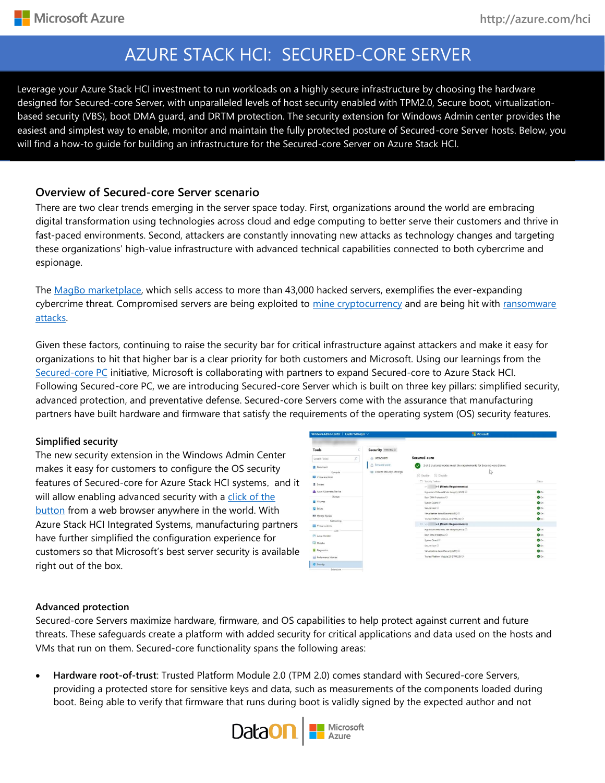Leverage your Azure Stack HCI investment to run workloads on a highly secure infrastructure by choosing the hardware designed for Secured-core Server, with unparalleled levels of host security enabled with TPM2.0, Secure boot, virtualizationbased security (VBS), boot DMA guard, and DRTM protection. The security extension for Windows Admin center provides the easiest and simplest way to enable, monitor and maintain the fully protected posture of Secured-core Server hosts. Below, you will find a how-to guide for building an infrastructure for the Secured-core Server on Azure Stack HCI.

### **Overview of Secured-core Server scenario**

There are two clear trends emerging in the server space today. First, organizations around the world are embracing digital transformation using technologies across cloud and edge computing to better serve their customers and thrive in fast-paced environments. Second, attackers are constantly innovating new attacks as technology changes and targeting these organizations' high-value infrastructure with advanced technical capabilities connected to both cybercrime and espionage.

The [MagBo marketplace,](https://www.zdnet.com/article/a-cybercrime-store-is-selling-access-to-more-than-43000-hacked-servers/) which sells access to more than 43,000 hacked servers, exemplifies the ever-expanding cybercrime threat. Compromised servers are being exploited to [mine cryptocurrency](https://www.bleepingcomputer.com/news/security/coinminer-campaigns-target-redis-apache-solr-and-windows-servers/) and are being hit with ransomware [attacks.](https://www.zdnet.com/article/hackers-target-unpatched-citrix-servers-to-deploy-ransomware/) 

Given these factors, continuing to raise the security bar for critical infrastructure against attackers and make it easy for organizations to hit that higher bar is a clear priority for both customers and Microsoft. Using our learnings from the [Secured-core PC](https://docs.microsoft.com/en-us/windows-hardware/design/device-experiences/oem-highly-secure) initiative, Microsoft is collaborating with partners to expand Secured-core to Azure Stack HCI. Following Secured-core PC, we are introducing Secured-core Server which is built on three key pillars: simplified security, advanced protection, and preventative defense. Secured-core Servers come with the assurance that manufacturing partners have built hardware and firmware that satisfy the requirements of the operating system (OS) security features.

### **Simplified security**

The new security extension in the Windows Admin Center makes it easy for customers to configure the OS security features of Secured-core for Azure Stack HCI systems, and it will allow enabling advanced security with a click of the [button](https://myignite.microsoft.com/sessions/8c615c6a-64ef-4c40-8ede-7eed49bc92bc?source=sessions) from a web browser anywhere in the world. With Azure Stack HCI Integrated Systems, manufacturing partners have further simplified the configuration experience for customers so that Microsoft's best server security is available right out of the box.

| Windows Admin Center   Cluster Manager $\vee$ |                                     | Microsoft                                                             |                 |  |  |  |
|-----------------------------------------------|-------------------------------------|-----------------------------------------------------------------------|-----------------|--|--|--|
| Tools                                         | Security PREVEW®                    |                                                                       |                 |  |  |  |
| Search Tools:                                 | @ Dashboard<br>$\Omega$             | Secured-core                                                          |                 |  |  |  |
| <b>R</b> Dashboard                            | △ Secured-core                      | 2 of 2 clustered nodes meet the requirements for Secured-core Server. |                 |  |  |  |
| Compute<br><b>IDI</b> Virtual machines        | <b>BB</b> Cluster security settings | 15<br>C Enable C Disable                                              |                 |  |  |  |
| 图 Servers                                     |                                     | <b>El Security Feature</b>                                            | Status          |  |  |  |
|                                               |                                     | 5-1 (Meets Requirements)                                              |                 |  |  |  |
| A Azure Kubernetes Service                    |                                     | Hypervisor Enforced Code Integrity (HVCI) <                           | <b>O</b> On     |  |  |  |
| Storage                                       |                                     | Boot DMA Protection (C)                                               | $\bullet$       |  |  |  |
| Volumes<br><b>Drives</b>                      |                                     | Sustem Guard C                                                        | O On            |  |  |  |
|                                               |                                     | Secure Boot (                                                         | $\bullet$ on    |  |  |  |
| <b>RR</b> Storage Replica                     |                                     | Virtualization-based Security (VBS) (C)                               | $\bullet$ on    |  |  |  |
| Natworking                                    |                                     | Trusted Platform Module 2.0 (TPM 2.0)                                 | $\bullet$       |  |  |  |
| <b>Hill Virtual contribut</b>                 |                                     | vi i-2 (Meets Requirements)                                           |                 |  |  |  |
| Tools                                         |                                     | Hypervisor Enforced Code Integrity (HVCI) (3)                         | $Q_{0n}$        |  |  |  |
| (2) Agune Mornitor                            |                                     | Base DMA Properties (1)                                               | $Q$ on          |  |  |  |
| Liji Updates                                  |                                     | System Guard (2)                                                      | Q <sub>0n</sub> |  |  |  |
|                                               |                                     | Secure Spot (1)                                                       | <b>O</b> On     |  |  |  |
| <b>Disgnostics</b>                            |                                     | Virtualization-based Security (VBS) <sup>(2)</sup>                    | Q <sub>0n</sub> |  |  |  |
| 60 Performance Monitor                        |                                     | Trusted Platform Module 2.0 (TPM 2.0) C                               | $\bullet$ On    |  |  |  |
| THE WANTED-                                   |                                     |                                                                       |                 |  |  |  |

### **Advanced protection**

Secured-core Servers maximize hardware, firmware, and OS capabilities to help protect against current and future threats. These safeguards create a platform with added security for critical applications and data used on the hosts and VMs that run on them. Secured-core functionality spans the following areas:

• **Hardware root-of-trust**: Trusted Platform Module 2.0 (TPM 2.0) comes standard with Secured-core Servers, providing a protected store for sensitive keys and data, such as measurements of the components loaded during boot. Being able to verify that firmware that runs during boot is validly signed by the expected author and not

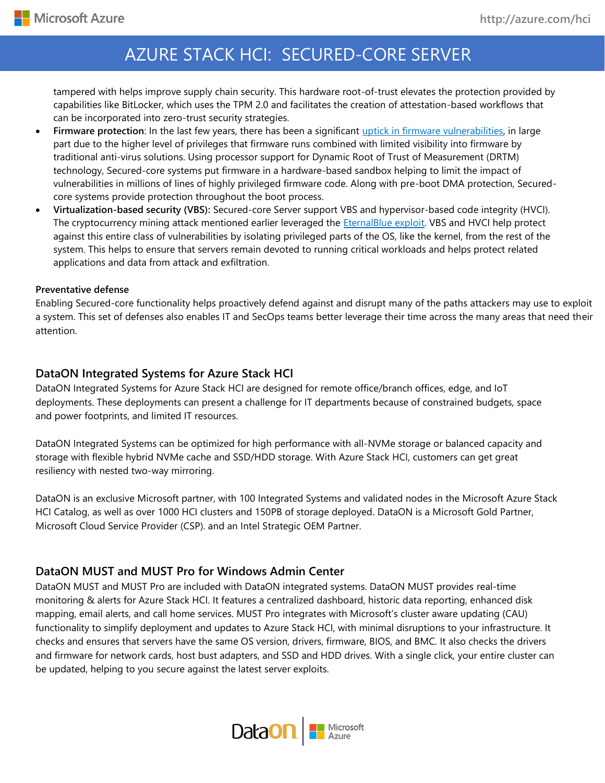tampered with helps improve supply chain security. This hardware root-of-trust elevates the protection provided by capabilities like BitLocker, which uses the TPM 2.0 and facilitates the creation of attestation-based workflows that can be incorporated into zero-trust security strategies.

- **Firmware protection**: In the last few years, there has been a significant [uptick in firmware vulnerabilities,](https://www.microsoft.com/security/blog/2019/10/21/microsoft-and-partners-design-new-device-security-requirements-to-protect-against-targeted-firmware-attacks/) in large part due to the higher level of privileges that firmware runs combined with limited visibility into firmware by traditional anti-virus solutions. Using processor support for Dynamic Root of Trust of Measurement (DRTM) technology, Secured-core systems put firmware in a hardware-based sandbox helping to limit the impact of vulnerabilities in millions of lines of highly privileged firmware code. Along with pre-boot DMA protection, Securedcore systems provide protection throughout the boot process.
- **Virtualization-based security (VBS):** Secured-core Server support VBS and hypervisor-based code integrity (HVCI). The cryptocurrency mining attack mentioned earlier leveraged the [EternalBlue exploit.](https://www.microsoft.com/security/blog/2017/06/30/exploring-the-crypt-analysis-of-the-wannacrypt-ransomware-smb-exploit-propagation/) VBS and HVCI help protect against this entire class of vulnerabilities by isolating privileged parts of the OS, like the kernel, from the rest of the system. This helps to ensure that servers remain devoted to running critical workloads and helps protect related applications and data from attack and exfiltration.

#### **Preventative defense**

Enabling Secured-core functionality helps proactively defend against and disrupt many of the paths attackers may use to exploit a system. This set of defenses also enables IT and SecOps teams better leverage their time across the many areas that need their attention.

## **DataON Integrated Systems for Azure Stack HCI**

DataON Integrated Systems for Azure Stack HCI are designed for remote office/branch offices, edge, and IoT deployments. These deployments can present a challenge for IT departments because of constrained budgets, space and power footprints, and limited IT resources.

DataON Integrated Systems can be optimized for high performance with all-NVMe storage or balanced capacity and storage with flexible hybrid NVMe cache and SSD/HDD storage. With Azure Stack HCI, customers can get great resiliency with nested two-way mirroring.

DataON is an exclusive Microsoft partner, with 100 Integrated Systems and validated nodes in the Microsoft Azure Stack HCI Catalog, as well as over 1000 HCI clusters and 150PB of storage deployed. DataON is a Microsoft Gold Partner, Microsoft Cloud Service Provider (CSP). and an Intel Strategic OEM Partner.

## **DataON MUST and MUST Pro for Windows Admin Center**

DataON MUST and MUST Pro are included with DataON integrated systems. DataON MUST provides real-time monitoring & alerts for Azure Stack HCI. It features a centralized dashboard, historic data reporting, enhanced disk mapping, email alerts, and call home services. MUST Pro integrates with Microsoft's cluster aware updating (CAU) functionality to simplify deployment and updates to Azure Stack HCI, with minimal disruptions to your infrastructure. It checks and ensures that servers have the same OS version, drivers, firmware, BIOS, and BMC. It also checks the drivers and firmware for network cards, host bust adapters, and SSD and HDD drives. With a single click, your entire cluster can be updated, helping to you secure against the latest server exploits.

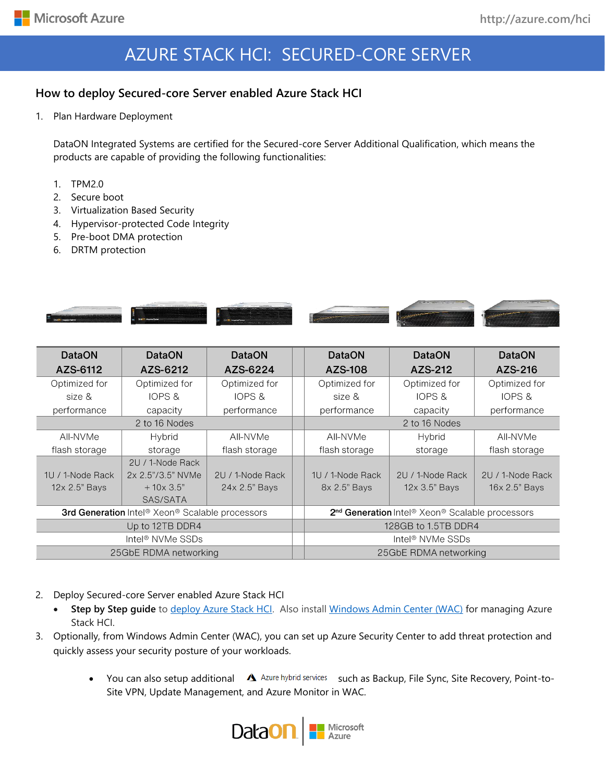## **How to deploy Secured-core Server enabled Azure Stack HCI**

1. Plan Hardware Deployment

DataON Integrated Systems are certified for the Secured-core Server Additional Qualification, which means the products are capable of providing the following functionalities:

- 1. TPM2.0
- 2. Secure boot
- 3. Virtualization Based Security
- 4. Hypervisor-protected Code Integrity
- 5. Pre-boot DMA protection
- 6. DRTM protection



| <b>DataON</b>                                   | <b>DataON</b>     | <b>DataON</b>    | <b>DataON</b>                                                                       | <b>DataON</b>    | <b>DataON</b>    |  |
|-------------------------------------------------|-------------------|------------------|-------------------------------------------------------------------------------------|------------------|------------------|--|
| AZS-6112                                        | AZS-6212          | AZS-6224         | AZS-108                                                                             | AZS-212          | AZS-216          |  |
| Optimized for                                   | Optimized for     | Optimized for    | Optimized for                                                                       | Optimized for    | Optimized for    |  |
| size &                                          | IOPS &            | IOPS &           | size &                                                                              | IOPS &           | IOPS &           |  |
| performance                                     | capacity          | performance      | performance                                                                         | capacity         | performance      |  |
| 2 to 16 Nodes                                   |                   |                  | 2 to 16 Nodes                                                                       |                  |                  |  |
| All-NVMe                                        | Hybrid            | All-NVMe         | All-NVMe                                                                            | Hybrid           | All-NVMe         |  |
| flash storage                                   | storage           | flash storage    | flash storage                                                                       | storage          | flash storage    |  |
|                                                 | 2U / 1-Node Rack  |                  |                                                                                     |                  |                  |  |
| 1U / 1-Node Rack                                | 2x 2.5"/3.5" NVMe | 2U / 1-Node Rack | 1U / 1-Node Rack                                                                    | 2U / 1-Node Rack | 2U / 1-Node Rack |  |
| 12x 2.5" Bays                                   | $+10\times3.5"$   | 24x 2.5" Bays    | 8x 2.5" Bays                                                                        | 12x 3.5" Bays    | 16x 2.5" Bays    |  |
|                                                 | SAS/SATA          |                  |                                                                                     |                  |                  |  |
| 3rd Generation Intel® Xeon® Scalable processors |                   |                  | 2 <sup>nd</sup> Generation Intel <sup>®</sup> Xeon <sup>®</sup> Scalable processors |                  |                  |  |
| Up to 12TB DDR4                                 |                   |                  | 128GB to 1.5TB DDR4                                                                 |                  |                  |  |
| Intel <sup>®</sup> NVMe SSDs                    |                   |                  | Intel <sup>®</sup> NVMe SSDs                                                        |                  |                  |  |
| 25GbE RDMA networking                           |                   |                  | 25GbE RDMA networking                                                               |                  |                  |  |

- 2. Deploy Secured-core Server enabled Azure Stack HCI
	- **Step by Step guide** to [deploy Azure Stack HCI.](https://docs.microsoft.com/azure-stack/hci/) Also install [Windows Admin Center \(WAC\)](https://aka.ms/windowsadmincenter) for managing Azure Stack HCI.
- 3. Optionally, from Windows Admin Center (WAC), you can set up Azure Security Center to add threat protection and quickly assess your security posture of your workloads.
	- You can also setup additional  $\Delta$  Azure hybrid services such as Backup, File Sync, Site Recovery, Point-to-Site VPN, Update Management, and Azure Monitor in WAC.